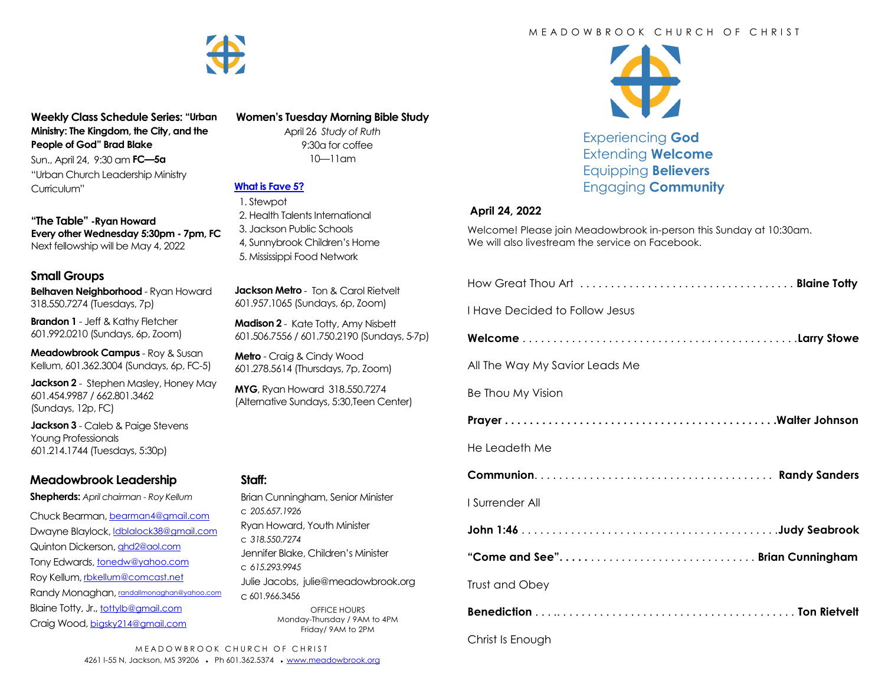

**Weekly Class Schedule Series: "Urban Ministry: The Kingdom, the City, and the People of God" Brad Blake**

Sun., April 24, 9:30 am **FC—5a** "Urban Church Leadership Ministry Curriculum"

**"The Table" -Ryan Howard Every other Wednesday 5:30pm - 7pm, FC** Next fellowship will be May 4, 2022

#### **Small Groups**

**Belhaven Neighborhood** - Ryan Howard 318.550.7274 (Tuesdays, 7p)

**Brandon 1** - Jeff & Kathy Fletcher 601.992.0210 (Sundays, 6p, Zoom)

**Meadowbrook Campus** - Roy & Susan Kellum, 601.362.3004 (Sundays, 6p, FC-5)

**Jackson 2** - Stephen Masley, Honey May 601.454.9987 / 662.801.3462 (Sundays, 12p, FC)

**Jackson 3** - Caleb & Paige Stevens Young Professionals 601.214.1744 (Tuesdays, 5:30p)

## **Meadowbrook Leadership**

**Shepherds:** *April chairman - Roy Kellum*

Chuck Bearman, [bearman4@gmail.com](mailto:bearman4@gmail.com) Dwayne Blaylock, *dblalock38@gmail.com* Quinton Dickerson, [qhd2@aol.com](mailto:qhd2@aol.com) Tony Edwards, [tonedw@yahoo.com](mailto:tonedw@yahoo.com) Roy Kellum, [rbkellum@comcast.net](mailto:rbkellum@comcast.net) Randy Monaghan, [randallmonaghan@yahoo.com](mailto:randallmonaghan@yahoo.com) Blaine Totty, Jr., [tottylb@gmail.com](mailto:tottylb@gmail.com) Craig Wood, [bigsky214@gmail.com](mailto:bigsky214@gmail.com)

**Women's Tuesday Morning Bible Study**

April 26 *Study of Ruth*  9:30a for coffee 10—11am

## **[What is Fave 5?](https://meadowbrook.ccbchurch.com/group_detail.php?group_id=131)**

 1. Stewpot 2. Health Talents International 3. Jackson Public Schools 4, Sunnybrook Children's Home 5. Mississippi Food Network

**Jackson Metro** - Ton & Carol Rietvelt 601.957.1065 (Sundays, 6p, Zoom)

**Madison 2** - Kate Totty, Amy Nisbett 601.506.7556 / 601.750.2190 (Sundays, 5-7p)

**Metro** - Craig & Cindy Wood 601.278.5614 (Thursdays, 7p, Zoom)

**MYG**, Ryan Howard 318.550.7274 (Alternative Sundays, 5:30,Teen Center)

#### **Staff:**

Brian Cunningham, Senior Minister c *205.657.1926* Ryan Howard, Youth Minister c *318.550.7274* Jennifer Blake, Children's Minister c *615.293.9945* Julie Jacobs, julie@meadowbrook.org c 601.966.3456 OFFICE HOURS Monday-Thursday / 9AM to 4PM Friday/ 9AM to 2PM

#### M F A D O W B R O O K C H U R C H O F C H R I S T



Experiencing **God** Extending **Welcome** Equipping **Believers** Engaging **Community**

#### **April 24, 2022**

Welcome! Please join Meadowbrook in-person this Sunday at 10:30am. We will also livestream the service on Facebook.

| I Have Decided to Follow Jesus |
|--------------------------------|
|                                |
| All The Way My Savior Leads Me |
| Be Thou My Vision              |
|                                |
| He Leadeth Me                  |
|                                |
|                                |
| I Surrender All                |
|                                |
| "Come and See"Brian Cunningham |
| Trust and Obey                 |
|                                |